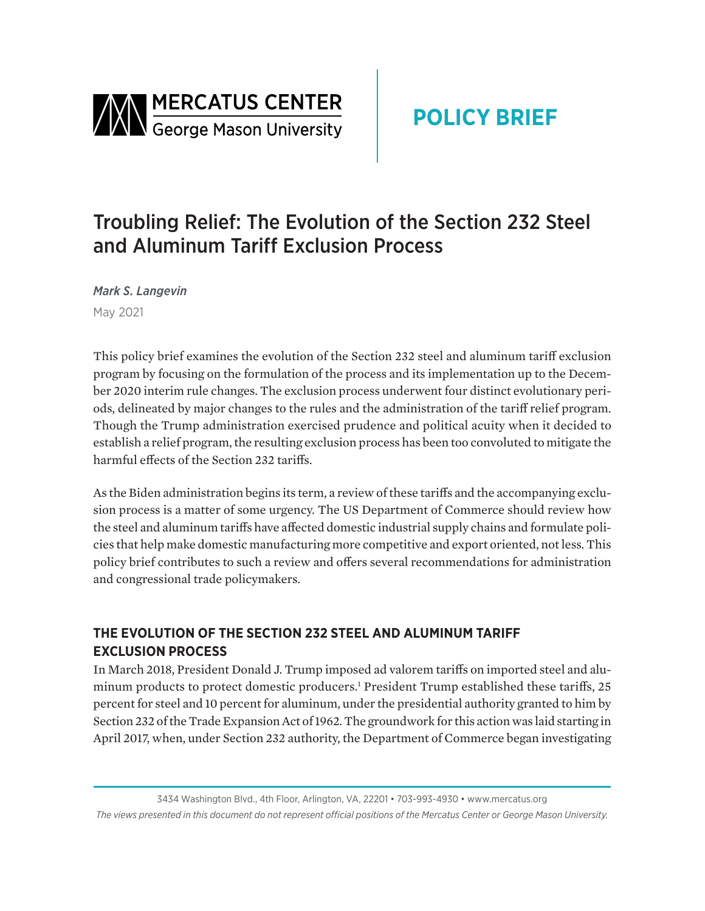<span id="page-0-0"></span>

# Troubling Relief: The Evolution of the Section 232 Steel and Aluminum Tariff Exclusion Process

*Mark S. Langevin* May 2021

This policy brief examines the evolution of the Section 232 steel and aluminum tariff exclusion program by focusing on the formulation of the process and its implementation up to the December 2020 interim rule changes. The exclusion process underwent four distinct evolutionary periods, delineated by major changes to the rules and the administration of the tariff relief program. Though the Trump administration exercised prudence and political acuity when it decided to establish a relief program, the resulting exclusion process has been too convoluted to mitigate the harmful effects of the Section 232 tariffs.

As the Biden administration begins its term, a review of these tariffs and the accompanying exclusion process is a matter of some urgency. The US Department of Commerce should review how the steel and aluminum tariffs have affected domestic industrial supply chains and formulate policies that help make domestic manufacturing more competitive and export oriented, not less. This policy brief contributes to such a review and offers several recommendations for administration and congressional trade policymakers.

## **THE EVOLUTION OF THE SECTION 232 STEEL AND ALUMINUM TARIFF EXCLUSION PROCESS**

In March 2018, President Donald J. Trump imposed ad valorem tariffs on imported steel and alu-minum products to protect domestic producers.<sup>[1](#page-11-0)</sup> President Trump established these tariffs, 25 percent for steel and 10 percent for aluminum, under the presidential authority granted to him by Section 232 of the Trade Expansion Act of 1962. The groundwork for this action was laid starting in April 2017, when, under Section 232 authority, the Department of Commerce began investigating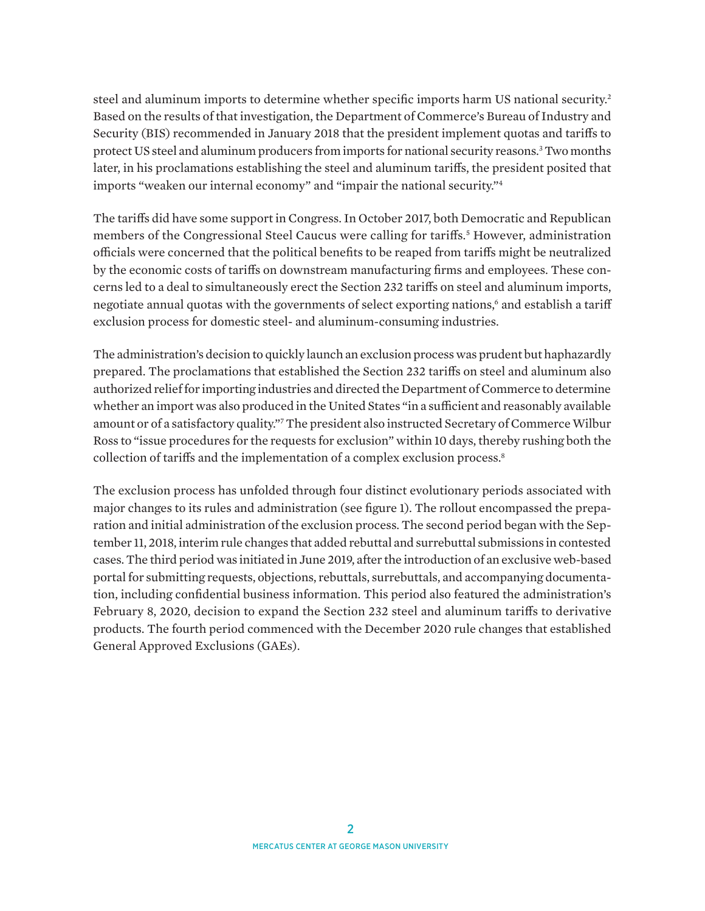<span id="page-1-0"></span>steel and aluminum imports to determine whether specific imports harm US national security.[2](#page-11-0) Based on the results of that investigation, the Department of Commerce's Bureau of Industry and Security (BIS) recommended in January 2018 that the president implement quotas and tariffs to protect US steel and aluminum producers from imports for national security reasons[.3](#page-11-0) Two months later, in his proclamations establishing the steel and aluminum tariffs, the president posited that imports "weaken our internal economy" and "impair the national security.["4](#page-11-0)

The tariffs did have some support in Congress. In October 2017, both Democratic and Republican members of the Congressional Steel Caucus were calling for tariffs.[5](#page-11-0) However, administration officials were concerned that the political benefits to be reaped from tariffs might be neutralized by the economic costs of tariffs on downstream manufacturing firms and employees. These concerns led to a deal to simultaneously erect the Section 232 tariffs on steel and aluminum imports, negotiate annual quotas with the governments of select exporting nations, $^{\rm 6}$  $^{\rm 6}$  $^{\rm 6}$  and establish a tariff exclusion process for domestic steel- and aluminum-consuming industries.

The administration's decision to quickly launch an exclusion process was prudent but haphazardly prepared. The proclamations that established the Section 232 tariffs on steel and aluminum also authorized relief for importing industries and directed the Department of Commerce to determine whether an import was also produced in the United States "in a sufficient and reasonably available amount or of a satisfactory quality."[7](#page-11-0) The president also instructed Secretary of Commerce Wilbur Ross to "issue procedures for the requests for exclusion" within 10 days, thereby rushing both the collection of tariffs and the implementation of a complex exclusion process.<sup>8</sup>

The exclusion process has unfolded through four distinct evolutionary periods associated with major changes to its rules and administration (see figure 1). The rollout encompassed the preparation and initial administration of the exclusion process. The second period began with the September 11, 2018, interim rule changes that added rebuttal and surrebuttal submissions in contested cases. The third period was initiated in June 2019, after the introduction of an exclusive web-based portal for submitting requests, objections, rebuttals, surrebuttals, and accompanying documentation, including confidential business information. This period also featured the administration's February 8, 2020, decision to expand the Section 232 steel and aluminum tariffs to derivative products. The fourth period commenced with the December 2020 rule changes that established General Approved Exclusions (GAEs).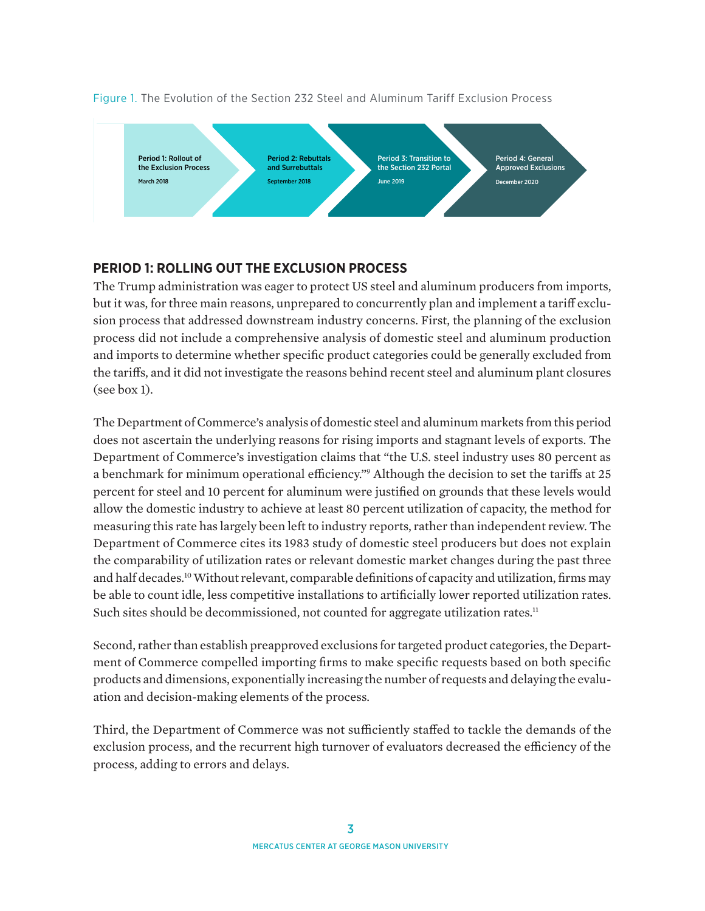

#### <span id="page-2-0"></span>Figure 1. The Evolution of the Section 232 Steel and Aluminum Tariff Exclusion Process

## **PERIOD 1: ROLLING OUT THE EXCLUSION PROCESS**

The Trump administration was eager to protect US steel and aluminum producers from imports, but it was, for three main reasons, unprepared to concurrently plan and implement a tariff exclusion process that addressed downstream industry concerns. First, the planning of the exclusion process did not include a comprehensive analysis of domestic steel and aluminum production and imports to determine whether specific product categories could be generally excluded from the tariffs, and it did not investigate the reasons behind recent steel and aluminum plant closures (see box 1).

The Department of Commerce's analysis of domestic steel and aluminum markets from this period does not ascertain the underlying reasons for rising imports and stagnant levels of exports. The Department of Commerce's investigation claims that "the U.S. steel industry uses 80 percent as a benchmark for minimum operational efficiency.["9](#page-11-0) Although the decision to set the tariffs at 25 percent for steel and 10 percent for aluminum were justified on grounds that these levels would allow the domestic industry to achieve at least 80 percent utilization of capacity, the method for measuring this rate has largely been left to industry reports, rather than independent review. The Department of Commerce cites its 1983 study of domestic steel producers but does not explain the comparability of utilization rates or relevant domestic market changes during the past three and half decades[.10](#page-11-0) Without relevant, comparable definitions of capacity and utilization, firms may be able to count idle, less competitive installations to artificially lower reported utilization rates. Such sites should be decommissioned, not counted for aggregate utilization rates.<sup>[11](#page-11-0)</sup>

Second, rather than establish preapproved exclusions for targeted product categories, the Department of Commerce compelled importing firms to make specific requests based on both specific products and dimensions, exponentially increasing the number of requests and delaying the evaluation and decision-making elements of the process.

Third, the Department of Commerce was not sufficiently staffed to tackle the demands of the exclusion process, and the recurrent high turnover of evaluators decreased the efficiency of the process, adding to errors and delays.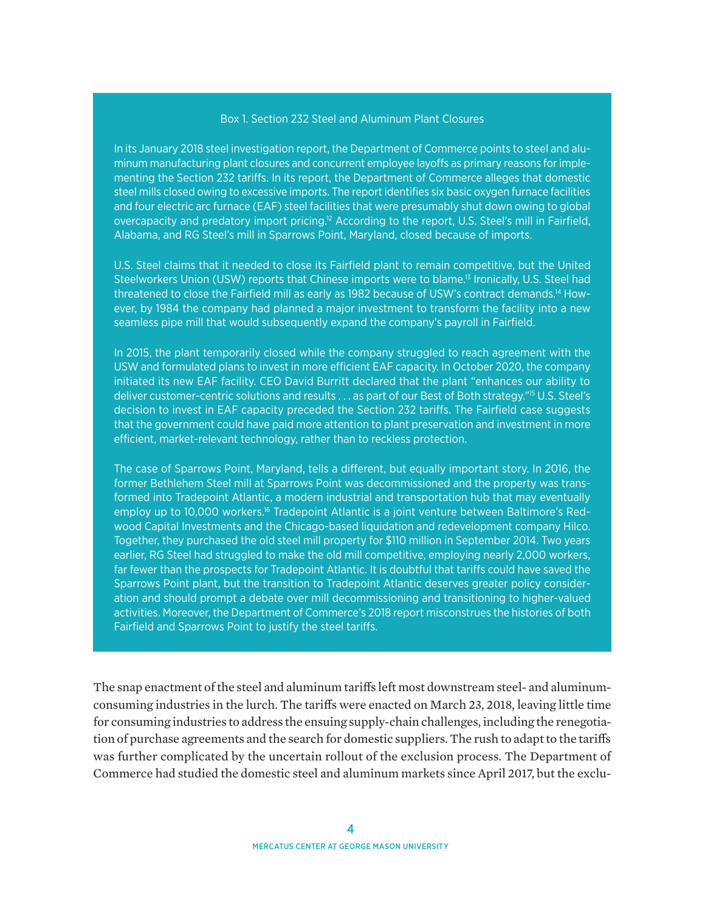#### Box 1. Section 232 Steel and Aluminum Plant Closures

<span id="page-3-0"></span>In its January 2018 steel investigation report, the Department of Commerce points to steel and aluminum manufacturing plant closures and concurrent employee layoffs as primary reasons for implementing the Section 232 tariffs. In its report, the Department of Commerce alleges that domestic steel mills closed owing to excessive imports. The report identifies six basic oxygen furnace facilities and four electric arc furnace (EAF) steel facilities that were presumably shut down owing to global overcapacity and predatory import pricing[.12](#page-11-0) According to the report, U.S. Steel's mill in Fairfield, Alabama, and RG Steel's mill in Sparrows Point, Maryland, closed because of imports.

U.S. Steel claims that it needed to close its Fairfield plant to remain competitive, but the United Steelworkers Union (USW) reports that Chinese imports were to blame.<sup>13</sup> Ironically, U.S. Steel had threatened to close the Fairfield mill as early as 1982 because of USW's contract demands[.14](#page-11-0) However, by 1984 the company had planned a major investment to transform the facility into a new seamless pipe mill that would subsequently expand the company's payroll in Fairfield.

In 2015, the plant temporarily closed while the company struggled to reach agreement with the USW and formulated plans to invest in more efficient EAF capacity. In October 2020, the company initiated its new EAF facility. CEO David Burritt declared that the plant "enhances our ability to deliver customer-centric solutions and results . . . as part of our Best of Both strategy.["15](#page-11-0) U.S. Steel's decision to invest in EAF capacity preceded the Section 232 tariffs. The Fairfield case suggests that the government could have paid more attention to plant preservation and investment in more efficient, market-relevant technology, rather than to reckless protection.

The case of Sparrows Point, Maryland, tells a different, but equally important story. In 2016, the former Bethlehem Steel mill at Sparrows Point was decommissioned and the property was transformed into Tradepoint Atlantic, a modern industrial and transportation hub that may eventually employ up to 10,000 workers.<sup>16</sup> Tradepoint Atlantic is a joint venture between Baltimore's Redwood Capital Investments and the Chicago-based liquidation and redevelopment company Hilco. Together, they purchased the old steel mill property for \$110 million in September 2014. Two years earlier, RG Steel had struggled to make the old mill competitive, employing nearly 2,000 workers, far fewer than the prospects for Tradepoint Atlantic. It is doubtful that tariffs could have saved the Sparrows Point plant, but the transition to Tradepoint Atlantic deserves greater policy consideration and should prompt a debate over mill decommissioning and transitioning to higher-valued activities. Moreover, the Department of Commerce's 2018 report misconstrues the histories of both Fairfield and Sparrows Point to justify the steel tariffs.

The snap enactment of the steel and aluminum tariffs left most downstream steel- and aluminumconsuming industries in the lurch. The tariffs were enacted on March 23, 2018, leaving little time for consuming industries to address the ensuing supply-chain challenges, including the renegotiation of purchase agreements and the search for domestic suppliers. The rush to adapt to the tariffs was further complicated by the uncertain rollout of the exclusion process. The Department of Commerce had studied the domestic steel and aluminum markets since April 2017, but the exclu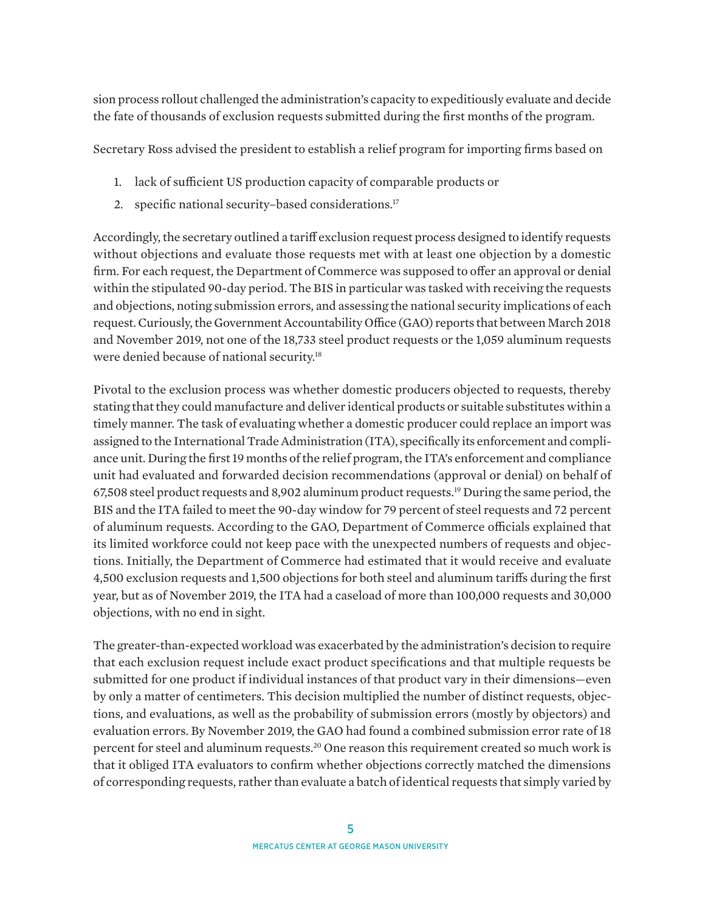<span id="page-4-0"></span>sion process rollout challenged the administration's capacity to expeditiously evaluate and decide the fate of thousands of exclusion requests submitted during the first months of the program.

Secretary Ross advised the president to establish a relief program for importing firms based on

- 1. lack of sufficient US production capacity of comparable products or
- 2. specific national security–based considerations[.17](#page-11-0)

Accordingly, the secretary outlined a tariff exclusion request process designed to identify requests without objections and evaluate those requests met with at least one objection by a domestic firm. For each request, the Department of Commerce was supposed to offer an approval or denial within the stipulated 90-day period. The BIS in particular was tasked with receiving the requests and objections, noting submission errors, and assessing the national security implications of each request. Curiously, the Government Accountability Office (GAO) reports that between March 2018 and November 2019, not one of the 18,733 steel product requests or the 1,059 aluminum requests were denied because of national security.[18](#page-12-0)

Pivotal to the exclusion process was whether domestic producers objected to requests, thereby stating that they could manufacture and deliver identical products or suitable substitutes within a timely manner. The task of evaluating whether a domestic producer could replace an import was assigned to the International Trade Administration (ITA), specifically its enforcement and compliance unit. During the first 19 months of the relief program, the ITA's enforcement and compliance unit had evaluated and forwarded decision recommendations (approval or denial) on behalf of 67,508 steel product requests and 8,902 aluminum product requests.[19](#page-12-0) During the same period, the BIS and the ITA failed to meet the 90-day window for 79 percent of steel requests and 72 percent of aluminum requests. According to the GAO, Department of Commerce officials explained that its limited workforce could not keep pace with the unexpected numbers of requests and objections. Initially, the Department of Commerce had estimated that it would receive and evaluate 4,500 exclusion requests and 1,500 objections for both steel and aluminum tariffs during the first year, but as of November 2019, the ITA had a caseload of more than 100,000 requests and 30,000 objections, with no end in sight.

The greater-than-expected workload was exacerbated by the administration's decision to require that each exclusion request include exact product specifications and that multiple requests be submitted for one product if individual instances of that product vary in their dimensions—even by only a matter of centimeters. This decision multiplied the number of distinct requests, objections, and evaluations, as well as the probability of submission errors (mostly by objectors) and evaluation errors. By November 2019, the GAO had found a combined submission error rate of 18 percent for steel and aluminum requests[.20](#page-12-0) One reason this requirement created so much work is that it obliged ITA evaluators to confirm whether objections correctly matched the dimensions of corresponding requests, rather than evaluate a batch of identical requests that simply varied by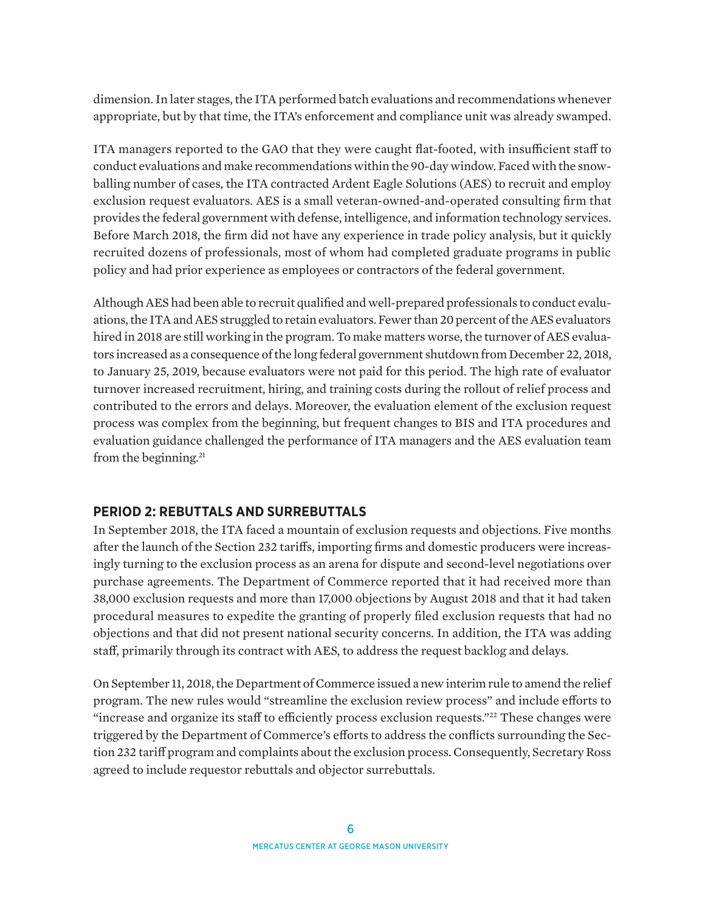<span id="page-5-0"></span>dimension. In later stages, the ITA performed batch evaluations and recommendations whenever appropriate, but by that time, the ITA's enforcement and compliance unit was already swamped.

ITA managers reported to the GAO that they were caught flat-footed, with insufficient staff to conduct evaluations and make recommendations within the 90-day window. Faced with the snowballing number of cases, the ITA contracted Ardent Eagle Solutions (AES) to recruit and employ exclusion request evaluators. AES is a small veteran-owned-and-operated consulting firm that provides the federal government with defense, intelligence, and information technology services. Before March 2018, the firm did not have any experience in trade policy analysis, but it quickly recruited dozens of professionals, most of whom had completed graduate programs in public policy and had prior experience as employees or contractors of the federal government.

Although AES had been able to recruit qualified and well-prepared professionals to conduct evaluations, the ITA and AES struggled to retain evaluators. Fewer than 20 percent of the AES evaluators hired in 2018 are still working in the program. To make matters worse, the turnover of AES evaluators increased as a consequence of the long federal government shutdown from December 22, 2018, to January 25, 2019, because evaluators were not paid for this period. The high rate of evaluator turnover increased recruitment, hiring, and training costs during the rollout of relief process and contributed to the errors and delays. Moreover, the evaluation element of the exclusion request process was complex from the beginning, but frequent changes to BIS and ITA procedures and evaluation guidance challenged the performance of ITA managers and the AES evaluation team from the beginning.<sup>[21](#page-12-0)</sup>

## **PERIOD 2: REBUTTALS AND SURREBUTTALS**

In September 2018, the ITA faced a mountain of exclusion requests and objections. Five months after the launch of the Section 232 tariffs, importing firms and domestic producers were increasingly turning to the exclusion process as an arena for dispute and second-level negotiations over purchase agreements. The Department of Commerce reported that it had received more than 38,000 exclusion requests and more than 17,000 objections by August 2018 and that it had taken procedural measures to expedite the granting of properly filed exclusion requests that had no objections and that did not present national security concerns. In addition, the ITA was adding staff, primarily through its contract with AES, to address the request backlog and delays.

On September 11, 2018, the Department of Commerce issued a new interim rule to amend the relief program. The new rules would "streamline the exclusion review process" and include efforts to "increase and organize its staff to efficiently process exclusion requests.["22](#page-12-0) These changes were triggered by the Department of Commerce's efforts to address the conflicts surrounding the Section 232 tariff program and complaints about the exclusion process. Consequently, Secretary Ross agreed to include requestor rebuttals and objector surrebuttals.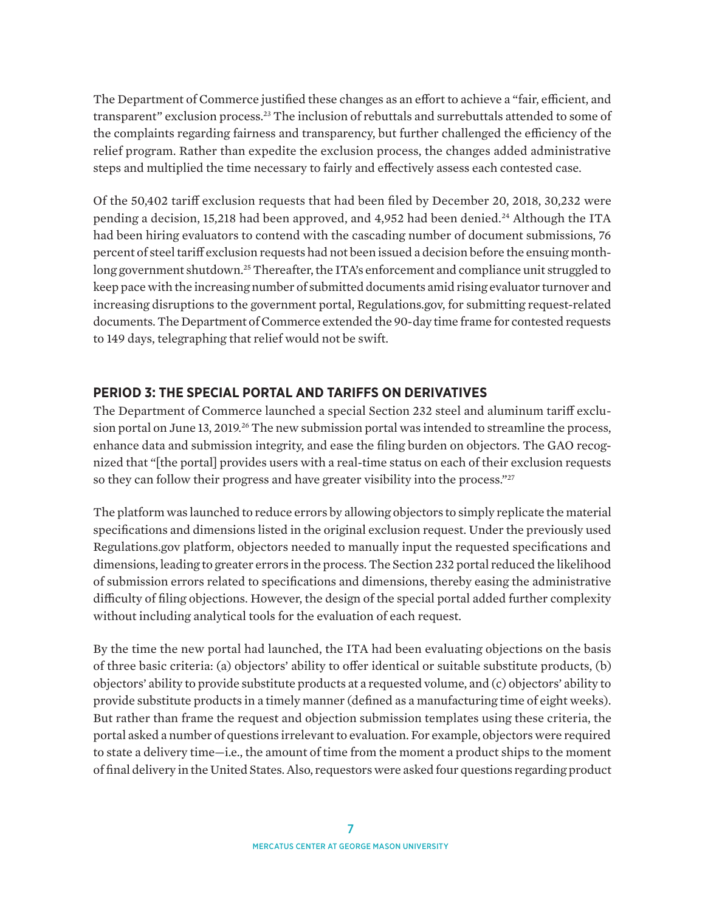<span id="page-6-0"></span>The Department of Commerce justified these changes as an effort to achieve a "fair, efficient, and transparent" exclusion process.[23](#page-12-0) The inclusion of rebuttals and surrebuttals attended to some of the complaints regarding fairness and transparency, but further challenged the efficiency of the relief program. Rather than expedite the exclusion process, the changes added administrative steps and multiplied the time necessary to fairly and effectively assess each contested case.

Of the 50,402 tariff exclusion requests that had been filed by December 20, 2018, 30,232 were pending a decision, 15,218 had been approved, and 4,952 had been denied.[24](#page-12-0) Although the ITA had been hiring evaluators to contend with the cascading number of document submissions, 76 percent of steel tariff exclusion requests had not been issued a decision before the ensuing month-long government shutdown.<sup>[25](#page-12-0)</sup> Thereafter, the ITA's enforcement and compliance unit struggled to keep pace with the increasing number of submitted documents amid rising evaluator turnover and increasing disruptions to the government portal, Regulations.gov, for submitting request-related documents. The Department of Commerce extended the 90-day time frame for contested requests to 149 days, telegraphing that relief would not be swift.

## **PERIOD 3: THE SPECIAL PORTAL AND TARIFFS ON DERIVATIVES**

The Department of Commerce launched a special Section 232 steel and aluminum tariff exclusion portal on June 13, 2019.<sup>26</sup> The new submission portal was intended to streamline the process, enhance data and submission integrity, and ease the filing burden on objectors. The GAO recognized that "[the portal] provides users with a real-time status on each of their exclusion requests so they can follow their progress and have greater visibility into the process."<sup>[27](#page-12-0)</sup>

The platform was launched to reduce errors by allowing objectors to simply replicate the material specifications and dimensions listed in the original exclusion request. Under the previously used Regulations.gov platform, objectors needed to manually input the requested specifications and dimensions, leading to greater errors in the process. The Section 232 portal reduced the likelihood of submission errors related to specifications and dimensions, thereby easing the administrative difficulty of filing objections. However, the design of the special portal added further complexity without including analytical tools for the evaluation of each request.

By the time the new portal had launched, the ITA had been evaluating objections on the basis of three basic criteria: (a) objectors' ability to offer identical or suitable substitute products, (b) objectors' ability to provide substitute products at a requested volume, and (c) objectors' ability to provide substitute products in a timely manner (defined as a manufacturing time of eight weeks). But rather than frame the request and objection submission templates using these criteria, the portal asked a number of questions irrelevant to evaluation. For example, objectors were required to state a delivery time—i.e., the amount of time from the moment a product ships to the moment of final delivery in the United States. Also, requestors were asked four questions regarding product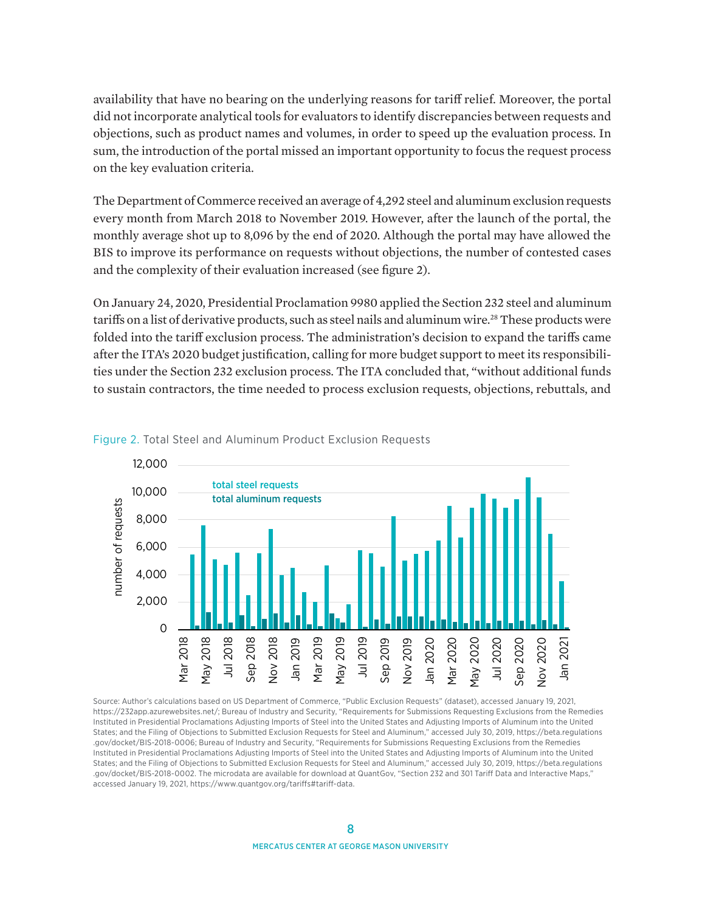<span id="page-7-0"></span>availability that have no bearing on the underlying reasons for tariff relief. Moreover, the portal did not incorporate analytical tools for evaluators to identify discrepancies between requests and objections, such as product names and volumes, in order to speed up the evaluation process. In sum, the introduction of the portal missed an important opportunity to focus the request process on the key evaluation criteria.

The Department of Commerce received an average of 4,292 steel and aluminum exclusion requests every month from March 2018 to November 2019. However, after the launch of the portal, the monthly average shot up to 8,096 by the end of 2020. Although the portal may have allowed the BIS to improve its performance on requests without objections, the number of contested cases and the complexity of their evaluation increased (see figure 2).

On January 24, 2020, Presidential Proclamation 9980 applied the Section 232 steel and aluminum tariffs on a list of derivative products, such as steel nails and aluminum wire.[28](#page-12-0) These products were folded into the tariff exclusion process. The administration's decision to expand the tariffs came after the ITA's 2020 budget justification, calling for more budget support to meet its responsibilities under the Section 232 exclusion process. The ITA concluded that, "without additional funds to sustain contractors, the time needed to process exclusion requests, objections, rebuttals, and



#### Figure 2. Total Steel and Aluminum Product Exclusion Requests

Source: Author's calculations based on US Department of Commerce, "Public Exclusion Requests" (dataset), accessed January 19, 2021, <https://232app.azurewebsites.net/>; Bureau of Industry and Security, "Requirements for Submissions Requesting Exclusions from the Remedies Instituted in Presidential Proclamations Adjusting Imports of Steel into the United States and Adjusting Imports of Aluminum into the United States; and the Filing of Objections to Submitted Exclusion Requests for Steel and Aluminum," accessed July 30, 2019, [https://beta.regulations](https://www.regulations.gov/docket/BIS-2018-0006) [.gov/docket/BIS-2018-0006;](https://www.regulations.gov/docket/BIS-2018-0006) Bureau of Industry and Security, "Requirements for Submissions Requesting Exclusions from the Remedies Instituted in Presidential Proclamations Adjusting Imports of Steel into the United States and Adjusting Imports of Aluminum into the United States; and the Filing of Objections to Submitted Exclusion Requests for Steel and Aluminum," accessed July 30, 2019, [https://beta.regulations](https://www.regulations.gov/docket/BIS-2018-0002) [.gov/docket/BIS-2018-0002](https://www.regulations.gov/docket/BIS-2018-0002). The microdata are available for download at QuantGov, "Section 232 and 301 Tariff Data and Interactive Maps," accessed January 19, 2021, [https://www.quantgov.org/tariffs#tariff-data.](https://www.quantgov.org/tariffs#tariff-data)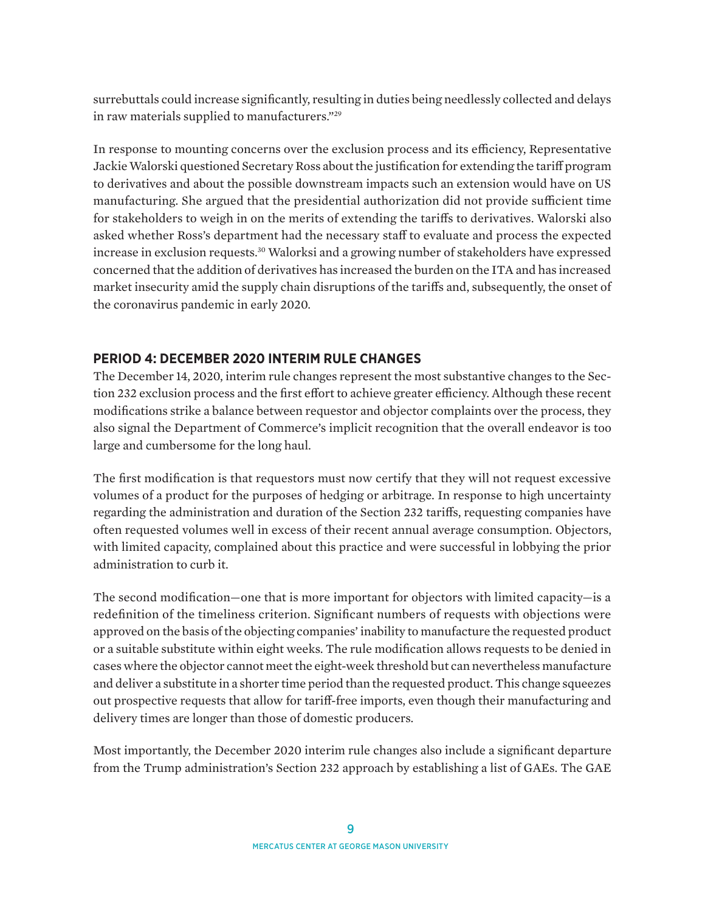<span id="page-8-0"></span>surrebuttals could increase significantly, resulting in duties being needlessly collected and delays in raw materials supplied to manufacturers.["29](#page-12-0)

In response to mounting concerns over the exclusion process and its efficiency, Representative Jackie Walorski questioned Secretary Ross about the justification for extending the tariff program to derivatives and about the possible downstream impacts such an extension would have on US manufacturing. She argued that the presidential authorization did not provide sufficient time for stakeholders to weigh in on the merits of extending the tariffs to derivatives. Walorski also asked whether Ross's department had the necessary staff to evaluate and process the expected increase in exclusion requests.<sup>30</sup> Walorksi and a growing number of stakeholders have expressed concerned that the addition of derivatives has increased the burden on the ITA and has increased market insecurity amid the supply chain disruptions of the tariffs and, subsequently, the onset of the coronavirus pandemic in early 2020.

## **PERIOD 4: DECEMBER 2020 INTERIM RULE CHANGES**

The December 14, 2020, interim rule changes represent the most substantive changes to the Section 232 exclusion process and the first effort to achieve greater efficiency. Although these recent modifications strike a balance between requestor and objector complaints over the process, they also signal the Department of Commerce's implicit recognition that the overall endeavor is too large and cumbersome for the long haul.

The first modification is that requestors must now certify that they will not request excessive volumes of a product for the purposes of hedging or arbitrage. In response to high uncertainty regarding the administration and duration of the Section 232 tariffs, requesting companies have often requested volumes well in excess of their recent annual average consumption. Objectors, with limited capacity, complained about this practice and were successful in lobbying the prior administration to curb it.

The second modification—one that is more important for objectors with limited capacity—is a redefinition of the timeliness criterion. Significant numbers of requests with objections were approved on the basis of the objecting companies' inability to manufacture the requested product or a suitable substitute within eight weeks. The rule modification allows requests to be denied in cases where the objector cannot meet the eight-week threshold but can nevertheless manufacture and deliver a substitute in a shorter time period than the requested product. This change squeezes out prospective requests that allow for tariff-free imports, even though their manufacturing and delivery times are longer than those of domestic producers.

Most importantly, the December 2020 interim rule changes also include a significant departure from the Trump administration's Section 232 approach by establishing a list of GAEs. The GAE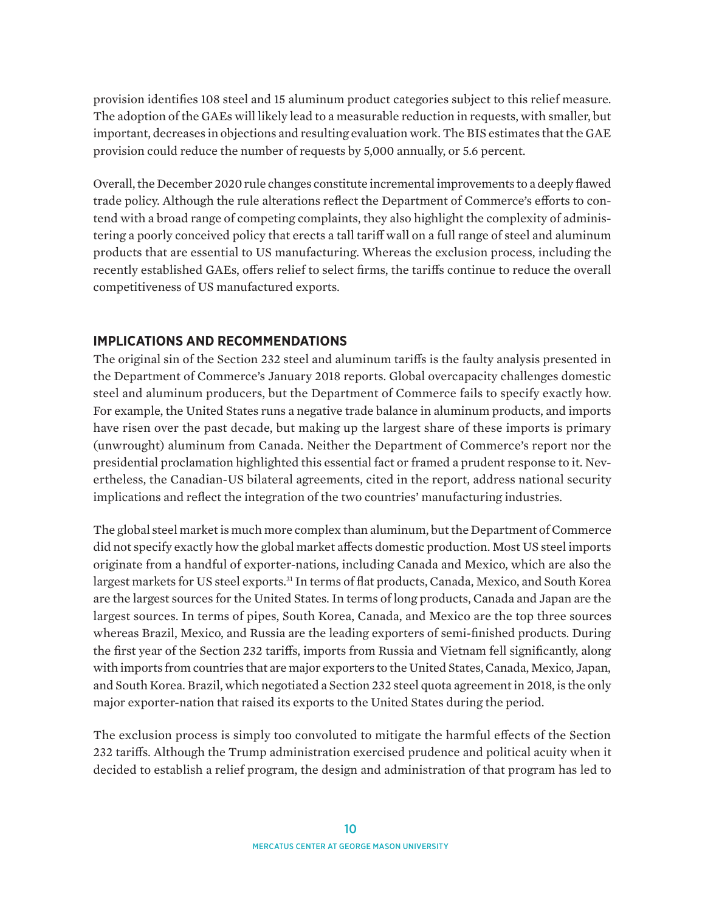<span id="page-9-0"></span>provision identifies 108 steel and 15 aluminum product categories subject to this relief measure. The adoption of the GAEs will likely lead to a measurable reduction in requests, with smaller, but important, decreases in objections and resulting evaluation work. The BIS estimates that the GAE provision could reduce the number of requests by 5,000 annually, or 5.6 percent.

Overall, the December 2020 rule changes constitute incremental improvements to a deeply flawed trade policy. Although the rule alterations reflect the Department of Commerce's efforts to contend with a broad range of competing complaints, they also highlight the complexity of administering a poorly conceived policy that erects a tall tariff wall on a full range of steel and aluminum products that are essential to US manufacturing. Whereas the exclusion process, including the recently established GAEs, offers relief to select firms, the tariffs continue to reduce the overall competitiveness of US manufactured exports.

## **IMPLICATIONS AND RECOMMENDATIONS**

The original sin of the Section 232 steel and aluminum tariffs is the faulty analysis presented in the Department of Commerce's January 2018 reports. Global overcapacity challenges domestic steel and aluminum producers, but the Department of Commerce fails to specify exactly how. For example, the United States runs a negative trade balance in aluminum products, and imports have risen over the past decade, but making up the largest share of these imports is primary (unwrought) aluminum from Canada. Neither the Department of Commerce's report nor the presidential proclamation highlighted this essential fact or framed a prudent response to it. Nevertheless, the Canadian-US bilateral agreements, cited in the report, address national security implications and reflect the integration of the two countries' manufacturing industries.

The global steel market is much more complex than aluminum, but the Department of Commerce did not specify exactly how the global market affects domestic production. Most US steel imports originate from a handful of exporter-nations, including Canada and Mexico, which are also the largest markets for US steel exports.<sup>[31](#page-12-0)</sup> In terms of flat products, Canada, Mexico, and South Korea are the largest sources for the United States. In terms of long products, Canada and Japan are the largest sources. In terms of pipes, South Korea, Canada, and Mexico are the top three sources whereas Brazil, Mexico, and Russia are the leading exporters of semi-finished products. During the first year of the Section 232 tariffs, imports from Russia and Vietnam fell significantly, along with imports from countries that are major exporters to the United States, Canada, Mexico, Japan, and South Korea. Brazil, which negotiated a Section 232 steel quota agreement in 2018, is the only major exporter-nation that raised its exports to the United States during the period.

The exclusion process is simply too convoluted to mitigate the harmful effects of the Section 232 tariffs. Although the Trump administration exercised prudence and political acuity when it decided to establish a relief program, the design and administration of that program has led to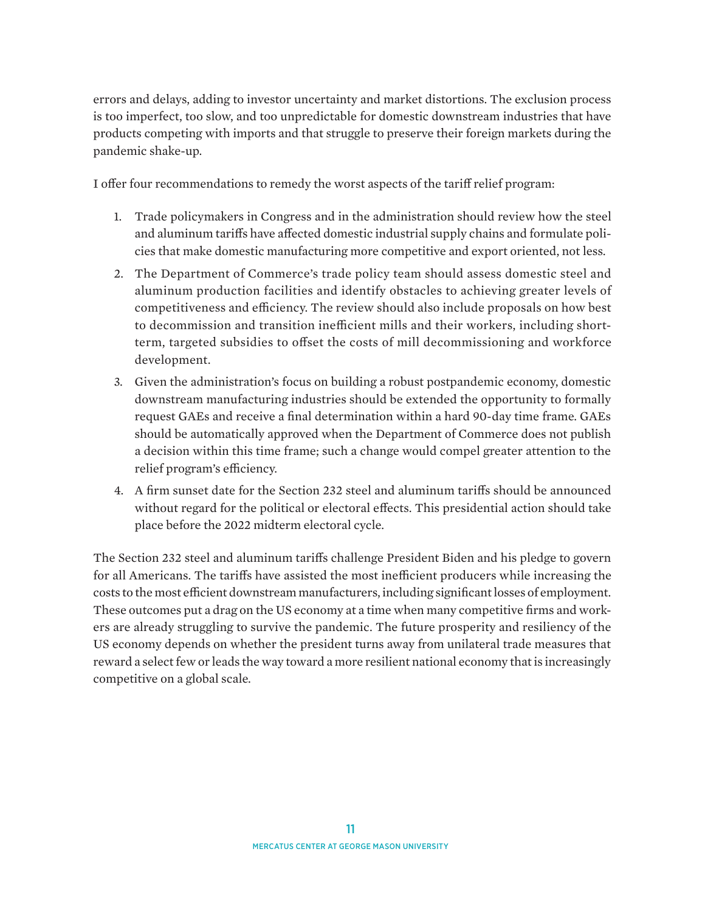errors and delays, adding to investor uncertainty and market distortions. The exclusion process is too imperfect, too slow, and too unpredictable for domestic downstream industries that have products competing with imports and that struggle to preserve their foreign markets during the pandemic shake-up.

I offer four recommendations to remedy the worst aspects of the tariff relief program:

- 1. Trade policymakers in Congress and in the administration should review how the steel and aluminum tariffs have affected domestic industrial supply chains and formulate policies that make domestic manufacturing more competitive and export oriented, not less.
- 2. The Department of Commerce's trade policy team should assess domestic steel and aluminum production facilities and identify obstacles to achieving greater levels of competitiveness and efficiency. The review should also include proposals on how best to decommission and transition inefficient mills and their workers, including shortterm, targeted subsidies to offset the costs of mill decommissioning and workforce development.
- 3. Given the administration's focus on building a robust postpandemic economy, domestic downstream manufacturing industries should be extended the opportunity to formally request GAEs and receive a final determination within a hard 90-day time frame. GAEs should be automatically approved when the Department of Commerce does not publish a decision within this time frame; such a change would compel greater attention to the relief program's efficiency.
- 4. A firm sunset date for the Section 232 steel and aluminum tariffs should be announced without regard for the political or electoral effects. This presidential action should take place before the 2022 midterm electoral cycle.

The Section 232 steel and aluminum tariffs challenge President Biden and his pledge to govern for all Americans. The tariffs have assisted the most inefficient producers while increasing the costs to the most efficient downstream manufacturers, including significant losses of employment. These outcomes put a drag on the US economy at a time when many competitive firms and workers are already struggling to survive the pandemic. The future prosperity and resiliency of the US economy depends on whether the president turns away from unilateral trade measures that reward a select few or leads the way toward a more resilient national economy that is increasingly competitive on a global scale.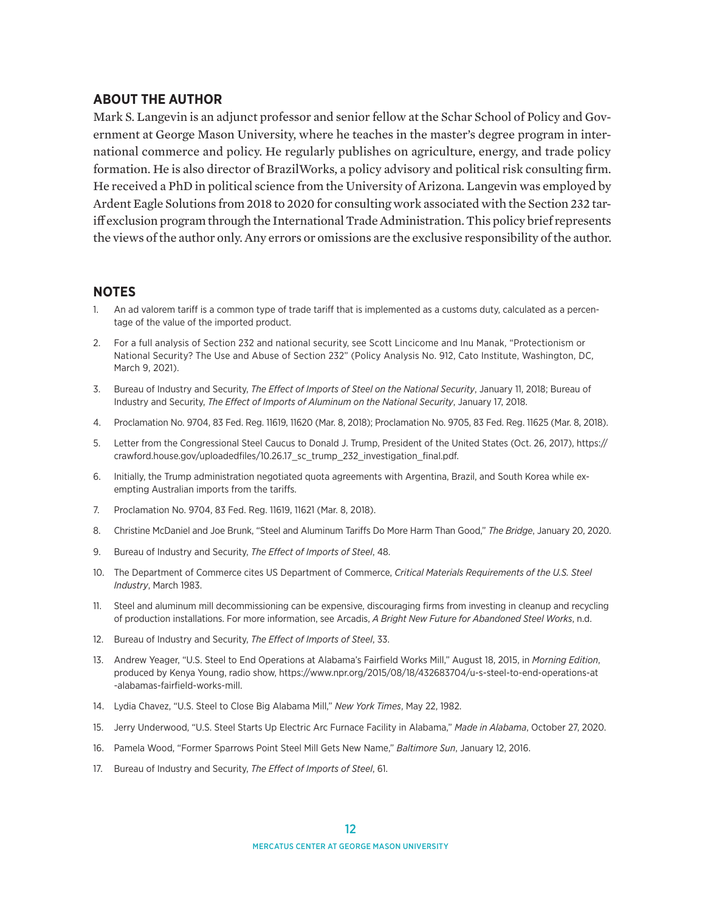#### <span id="page-11-0"></span>**ABOUT THE AUTHOR**

Mark S. Langevin is an adjunct professor and senior fellow at the Schar School of Policy and Government at George Mason University, where he teaches in the master's degree program in international commerce and policy. He regularly publishes on agriculture, energy, and trade policy formation. He is also director of BrazilWorks, a policy advisory and political risk consulting firm. He received a PhD in political science from the University of Arizona. Langevin was employed by Ardent Eagle Solutions from 2018 to 2020 for consulting work associated with the Section 232 tariff exclusion program through the International Trade Administration. This policy brief represents the views of the author only. Any errors or omissions are the exclusive responsibility of the author.

#### **NOTES**

- [1.](#page-0-0) An ad valorem tariff is a common type of trade tariff that is implemented as a customs duty, calculated as a percentage of the value of the imported product.
- [2](#page-1-0). For a full analysis of Section 232 and national security, see Scott Lincicome and Inu Manak, "Protectionism or National Security? The Use and Abuse of Section 232" (Policy Analysis No. 912, Cato Institute, Washington, DC, March 9, 2021).
- [3](#page-1-0). Bureau of Industry and Security, *The Effect of Imports of Steel on the National Security*, January 11, 2018; Bureau of Industry and Security, *The Effect of Imports of Aluminum on the National Security*, January 17, 2018.
- [4.](#page-1-0) Proclamation No. 9704, 83 Fed. Reg. 11619, 11620 (Mar. 8, 2018); Proclamation No. 9705, 83 Fed. Reg. 11625 (Mar. 8, 2018).
- [5](#page-1-0). Letter from the Congressional Steel Caucus to Donald J. Trump, President of the United States (Oct. 26, 2017), [https://](https://crawford.house.gov/uploadedfiles/10.26.17_sc_trump_232_investigation_final.pdf) [crawford.house.gov/uploadedfiles/10.26.17\\_sc\\_trump\\_232\\_investigation\\_final.pdf.](https://crawford.house.gov/uploadedfiles/10.26.17_sc_trump_232_investigation_final.pdf)
- [6.](#page-1-0) Initially, the Trump administration negotiated quota agreements with Argentina, Brazil, and South Korea while exempting Australian imports from the tariffs.
- [7.](#page-1-0) Proclamation No. 9704, 83 Fed. Reg. 11619, 11621 (Mar. 8, 2018).
- [8.](#page-1-0) Christine McDaniel and Joe Brunk, "Steel and Aluminum Tariffs Do More Harm Than Good," *The Bridge*, January 20, 2020.
- [9.](#page-2-0) Bureau of Industry and Security, *The Effect of Imports of Steel*, 48.
- [10.](#page-2-0) The Department of Commerce cites US Department of Commerce, *Critical Materials Requirements of the U.S. Steel Industry*, March 1983.
- [11](#page-2-0). Steel and aluminum mill decommissioning can be expensive, discouraging firms from investing in cleanup and recycling of production installations. For more information, see Arcadis, *A Bright New Future for Abandoned Steel Works*, n.d.
- [12](#page-3-0). Bureau of Industry and Security, *The Effect of Imports of Steel*, 33.
- [13](#page-3-0). Andrew Yeager, "U.S. Steel to End Operations at Alabama's Fairfield Works Mill," August 18, 2015, in *Morning Edition*, produced by Kenya Young, radio show, [https://www.npr.org/2015/08/18/432683704/u-s-steel-to-end-operations-at](https://www.npr.org/2015/08/18/432683704/u-s-steel-to-end-operations-at-alabamas-fairfield-works-mill) [-alabamas-fairfield-works-mill.](https://www.npr.org/2015/08/18/432683704/u-s-steel-to-end-operations-at-alabamas-fairfield-works-mill)
- [14.](#page-3-0) Lydia Chavez, "U.S. Steel to Close Big Alabama Mill," *New York Times*, May 22, 1982.
- [15](#page-3-0). Jerry Underwood, "U.S. Steel Starts Up Electric Arc Furnace Facility in Alabama," *Made in Alabama*, October 27, 2020.
- [16](#page-3-0). Pamela Wood, "Former Sparrows Point Steel Mill Gets New Name," *Baltimore Sun*, January 12, 2016.
- [17](#page-4-0). Bureau of Industry and Security, *The Effect of Imports of Steel*, 61.